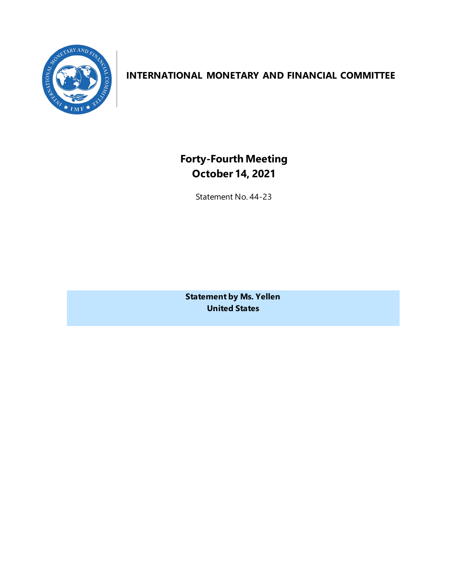

## **INTERNATIONAL MONETARY AND FINANCIAL COMMITTEE**

**Forty-Fourth Meeting October 14, 2021**

Statement No. 44-23

**Statement by Ms. Yellen United States**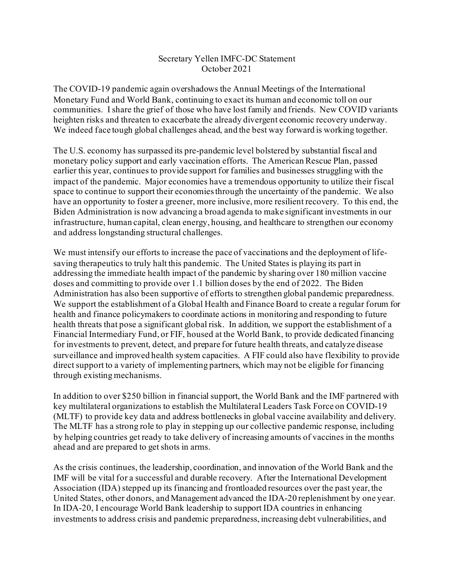## Secretary Yellen IMFC-DC Statement October 2021

The COVID-19 pandemic again overshadows the Annual Meetings of the International Monetary Fund and World Bank, continuing to exact its human and economic toll on our communities. I share the grief of those who have lost family and friends. New COVID variants heighten risks and threaten to exacerbate the already divergent economic recovery underway. We indeed face tough global challenges ahead, and the best way forward is working together.

The U.S. economy has surpassed its pre-pandemic level bolstered by substantial fiscal and monetary policy support and early vaccination efforts. The American Rescue Plan, passed earlier this year, continues to provide support for families and businesses struggling with the impact of the pandemic. Major economies have a tremendous opportunity to utilize their fiscal space to continue to support their economies through the uncertainty of the pandemic. We also have an opportunity to foster a greener, more inclusive, more resilient recovery. To this end, the Biden Administration is now advancing a broad agenda to make significant investments in our infrastructure, human capital, clean energy, housing, and healthcare to strengthen our economy and address longstanding structural challenges.

We must intensify our efforts to increase the pace of vaccinations and the deployment of lifesaving therapeutics to truly halt this pandemic. The United States is playing its part in addressing the immediate health impact of the pandemic by sharing over 180 million vaccine doses and committing to provide over 1.1 billion doses by the end of 2022. The Biden Administration has also been supportive of efforts to strengthen global pandemic preparedness. We support the establishment of a Global Health and Finance Board to create a regular forum for health and finance policymakers to coordinate actions in monitoring and responding to future health threats that pose a significant global risk. In addition, we support the establishment of a Financial Intermediary Fund, or FIF, housed at the World Bank, to provide dedicated financing for investments to prevent, detect, and prepare for future health threats, and catalyze disease surveillance and improved health system capacities. A FIF could also have flexibility to provide direct support to a variety of implementing partners, which may not be eligible for financing through existing mechanisms.

In addition to over \$250 billion in financial support, the World Bank and the IMF partnered with key multilateral organizations to establish the Multilateral Leaders Task Force on COVID-19 (MLTF) to provide key data and address bottlenecks in global vaccine availability and delivery. The MLTF has a strong role to play in stepping up our collective pandemic response, including by helping countries get ready to take delivery of increasing amounts of vaccines in the months ahead and are prepared to get shots in arms.

As the crisis continues, the leadership, coordination, and innovation of the World Bank and the IMF will be vital for a successful and durable recovery. After the International Development Association (IDA) stepped up its financing and frontloaded resources over the past year, the United States, other donors, and Management advanced the IDA-20 replenishment by one year. In IDA-20, I encourage World Bank leadership to support IDA countries in enhancing investments to address crisis and pandemic preparedness, increasing debt vulnerabilities, and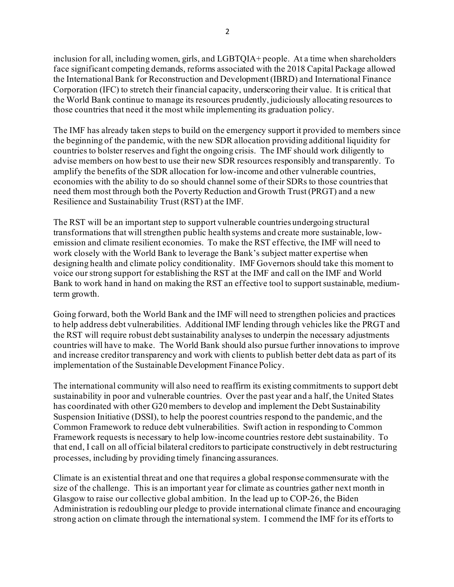inclusion for all, including women, girls, and LGBTQIA+ people. At a time when shareholders face significant competing demands, reforms associated with the 2018 Capital Package allowed the International Bank for Reconstruction and Development (IBRD) and International Finance Corporation (IFC) to stretch their financial capacity, underscoring their value. It is critical that the World Bank continue to manage its resources prudently, judiciously allocating resources to those countries that need it the most while implementing its graduation policy.

The IMF has already taken steps to build on the emergency support it provided to members since the beginning of the pandemic, with the new SDR allocation providing additional liquidity for countries to bolster reserves and fight the ongoing crisis. The IMF should work diligently to advise members on how best to use their new SDR resources responsibly and transparently. To amplify the benefits of the SDR allocation for low-income and other vulnerable countries, economies with the ability to do so should channel some of their SDRs to those countries that need them most through both the Poverty Reduction and Growth Trust (PRGT) and a new Resilience and Sustainability Trust (RST) at the IMF.

The RST will be an important step to support vulnerable countries undergoing structural transformations that will strengthen public health systems and create more sustainable, lowemission and climate resilient economies. To make the RST effective, the IMF will need to work closely with the World Bank to leverage the Bank's subject matter expertise when designing health and climate policy conditionality. IMF Governors should take this moment to voice our strong support for establishing the RST at the IMF and call on the IMF and World Bank to work hand in hand on making the RST an effective tool to support sustainable, mediumterm growth.

Going forward, both the World Bank and the IMF will need to strengthen policies and practices to help address debt vulnerabilities. Additional IMF lending through vehicles like the PRGT and the RST will require robust debt sustainability analyses to underpin the necessary adjustments countries will have to make. The World Bank should also pursue further innovations to improve and increase creditor transparency and work with clients to publish better debt data as part of its implementation of the Sustainable Development Finance Policy.

The international community will also need to reaffirm its existing commitments to support debt sustainability in poor and vulnerable countries. Over the past year and a half, the United States has coordinated with other G20 members to develop and implement the Debt Sustainability Suspension Initiative (DSSI), to help the poorest countries respond to the pandemic, and the Common Framework to reduce debt vulnerabilities. Swift action in responding to Common Framework requests is necessary to help low-income countries restore debt sustainability. To that end, I call on all official bilateral creditors to participate constructively in debt restructuring processes, including by providing timely financing assurances.

Climate is an existential threat and one that requires a global response commensurate with the size of the challenge. This is an important year for climate as countries gather next month in Glasgow to raise our collective global ambition. In the lead up to COP-26, the Biden Administration is redoubling our pledge to provide international climate finance and encouraging strong action on climate through the international system. I commend the IMF for its efforts to